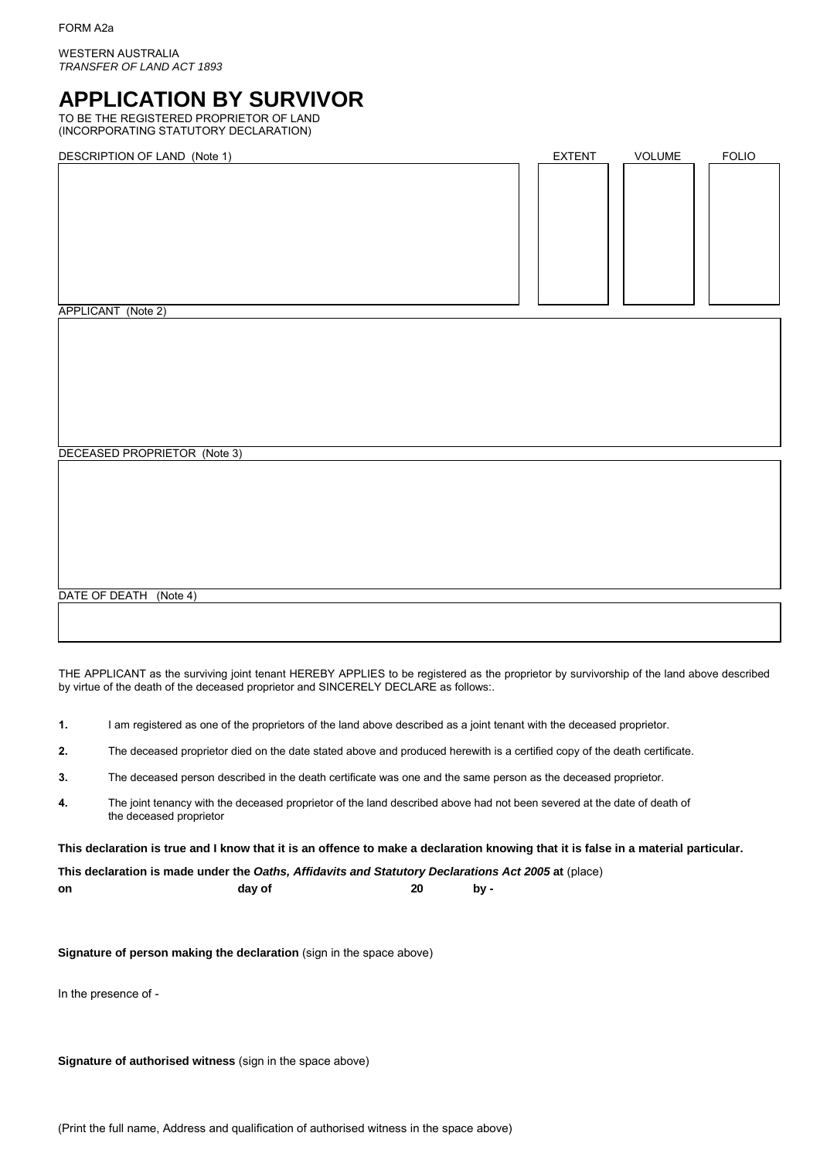WESTERN AUSTRALIA *TRANSFER OF LAND ACT 1893*

# **APPLICATION BY SURVIVOR**

TO BE THE REGISTERED PROPRIETOR OF LAND (INCORPORATING STATUTORY DECLARATION)

DESCRIPTION OF LAND (Note 1) THE SECRIPTION OF LAND (Note 1) THE SCRIPTION OF LAND (Note 1)

| $D = 0$            | $-211 - 111$ | $\sqrt{2}$ | $\sim$ |
|--------------------|--------------|------------|--------|
|                    |              |            |        |
|                    |              |            |        |
|                    |              |            |        |
|                    |              |            |        |
|                    |              |            |        |
|                    |              |            |        |
|                    |              |            |        |
|                    |              |            |        |
|                    |              |            |        |
|                    |              |            |        |
|                    |              |            |        |
|                    |              |            |        |
|                    |              |            |        |
|                    |              |            |        |
| APPLICANT (Note 2) |              |            |        |
|                    |              |            |        |
|                    |              |            |        |
|                    |              |            |        |
|                    |              |            |        |
|                    |              |            |        |
|                    |              |            |        |

DECEASED PROPRIETOR (Note 3)

DATE OF DEATH (Note 4)

THE APPLICANT as the surviving joint tenant HEREBY APPLIES to be registered as the proprietor by survivorship of the land above described by virtue of the death of the deceased proprietor and SINCERELY DECLARE as follows:.

- **1.** I am registered as one of the proprietors of the land above described as a joint tenant with the deceased proprietor.
- **2.** The deceased proprietor died on the date stated above and produced herewith is a certified copy of the death certificate.
- **3.** The deceased person described in the death certificate was one and the same person as the deceased proprietor.
- **4.** The joint tenancy with the deceased proprietor of the land described above had not been severed at the date of death of the deceased proprietor

**This declaration is true and I know that it is an offence to make a declaration knowing that it is false in a material particular.**

**This declaration is made under the** *Oaths, Affidavits and Statutory Declarations Act 2005* **at** (place) **on day of 20 by -**

**Signature of person making the declaration** (sign in the space above)

In the presence of -

**Signature of authorised witness** (sign in the space above)